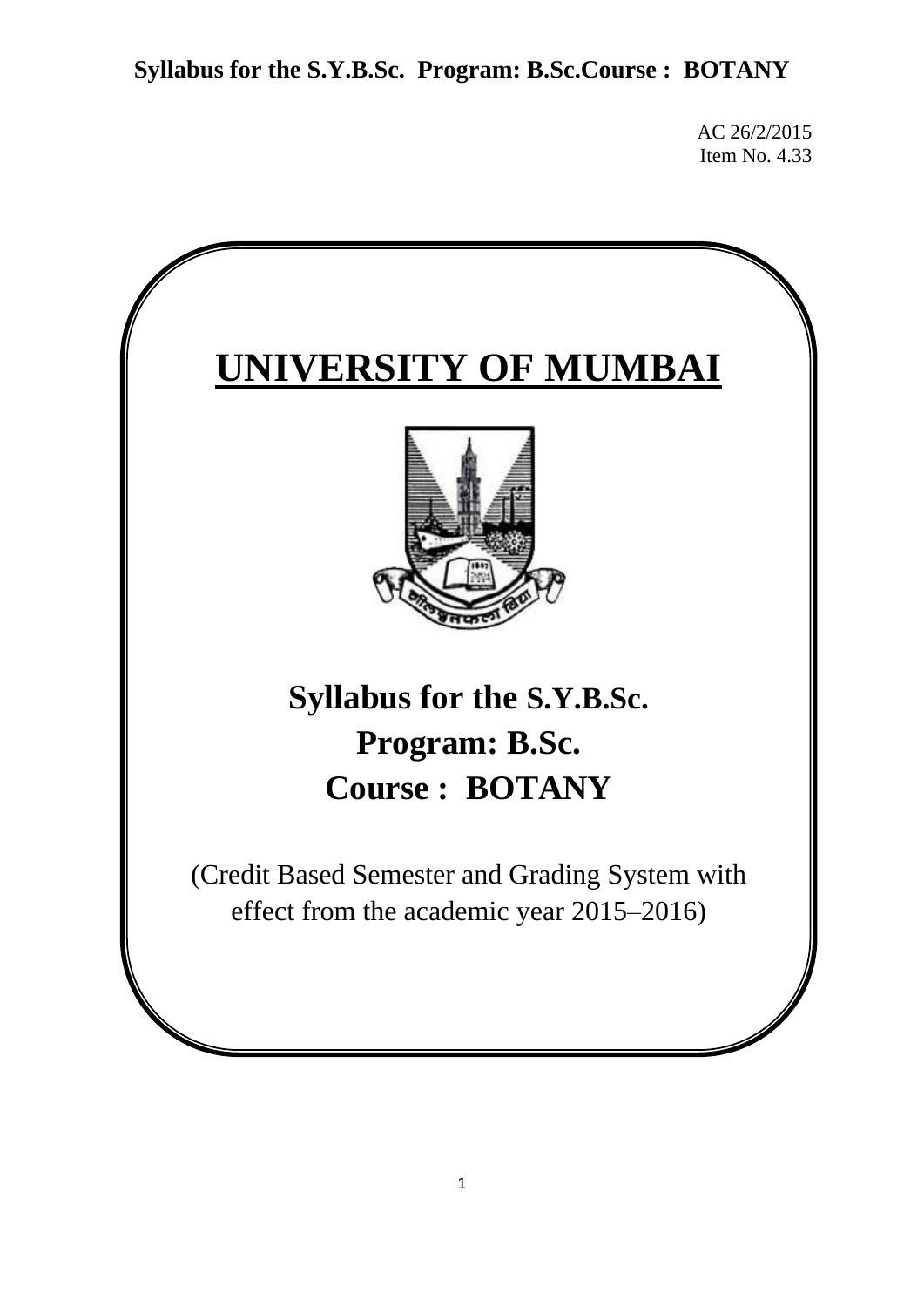AC 26/2/2015 Item No. 4.33

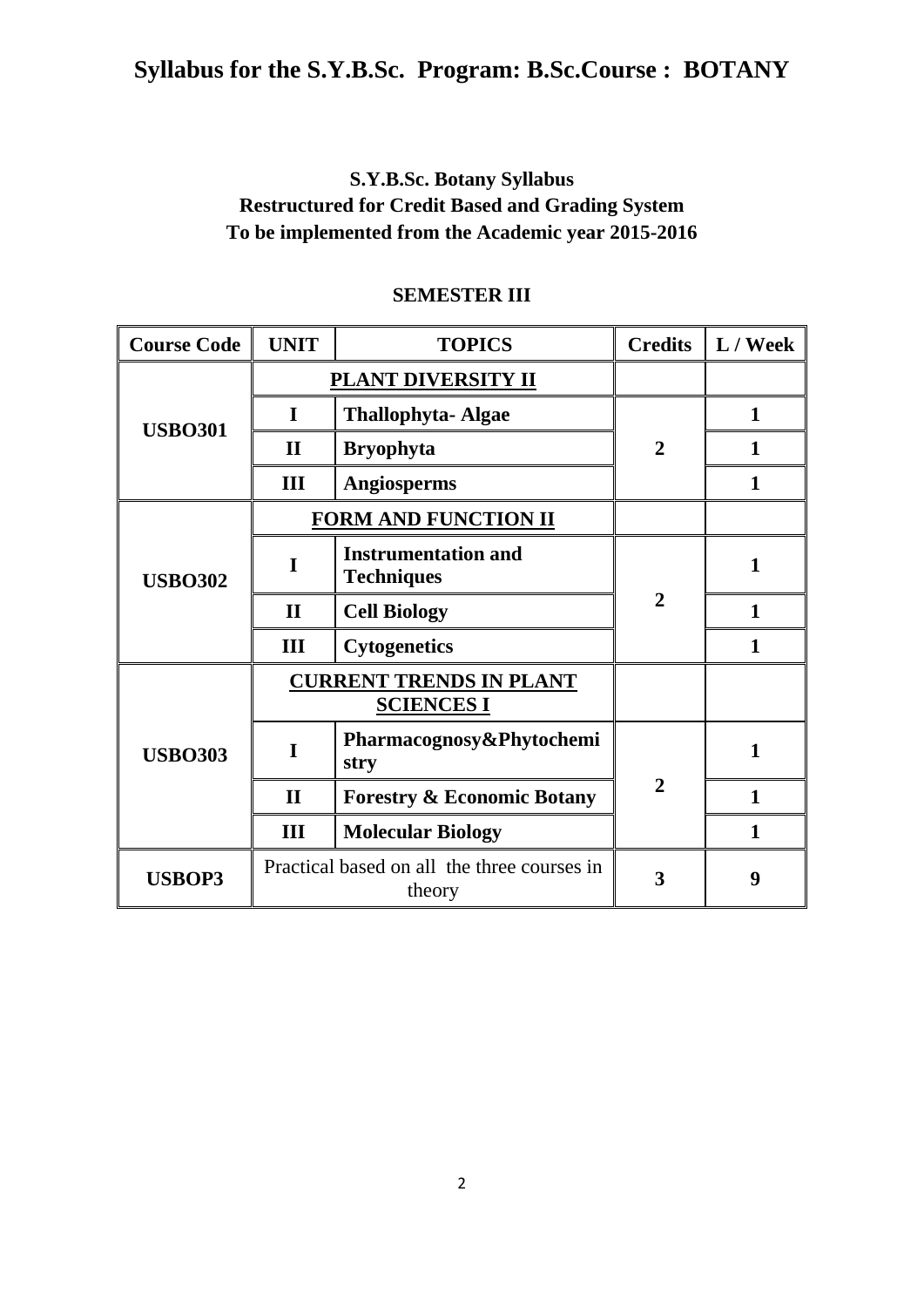## **S.Y.B.Sc. Botany Syllabus Restructured for Credit Based and Grading System To be implemented from the Academic year 2015-2016**

| <b>Course Code</b> | <b>UNIT</b>  | <b>TOPICS</b>                                         | <b>Credits</b> | $\mathbf{L} / \mathbf{W}$ eek |
|--------------------|--------------|-------------------------------------------------------|----------------|-------------------------------|
| <b>USBO301</b>     |              | PLANT DIVERSITY II                                    |                |                               |
|                    | I            | <b>Thallophyta-Algae</b>                              |                | $\mathbf{1}$                  |
|                    | $\mathbf{I}$ | <b>Bryophyta</b>                                      | $\overline{2}$ | 1                             |
|                    | III          | Angiosperms                                           |                | 1                             |
|                    |              | <b>FORM AND FUNCTION II</b>                           |                |                               |
| <b>USBO302</b>     |              | <b>Instrumentation and</b><br><b>Techniques</b>       |                | 1                             |
|                    | $\mathbf{I}$ | <b>Cell Biology</b>                                   | $\overline{2}$ | 1                             |
|                    | III          | <b>Cytogenetics</b>                                   |                |                               |
| <b>USBO303</b>     |              | <b>CURRENT TRENDS IN PLANT</b><br><b>SCIENCES I</b>   |                |                               |
|                    | T            | Pharmacognosy&Phytochemi<br>stry                      |                | 1                             |
|                    | $\mathbf{I}$ | <b>Forestry &amp; Economic Botany</b>                 | $\overline{2}$ | 1                             |
|                    | Ш            | <b>Molecular Biology</b>                              |                | 1                             |
| <b>USBOP3</b>      |              | Practical based on all the three courses in<br>theory | 3              | 9                             |

### **SEMESTER III**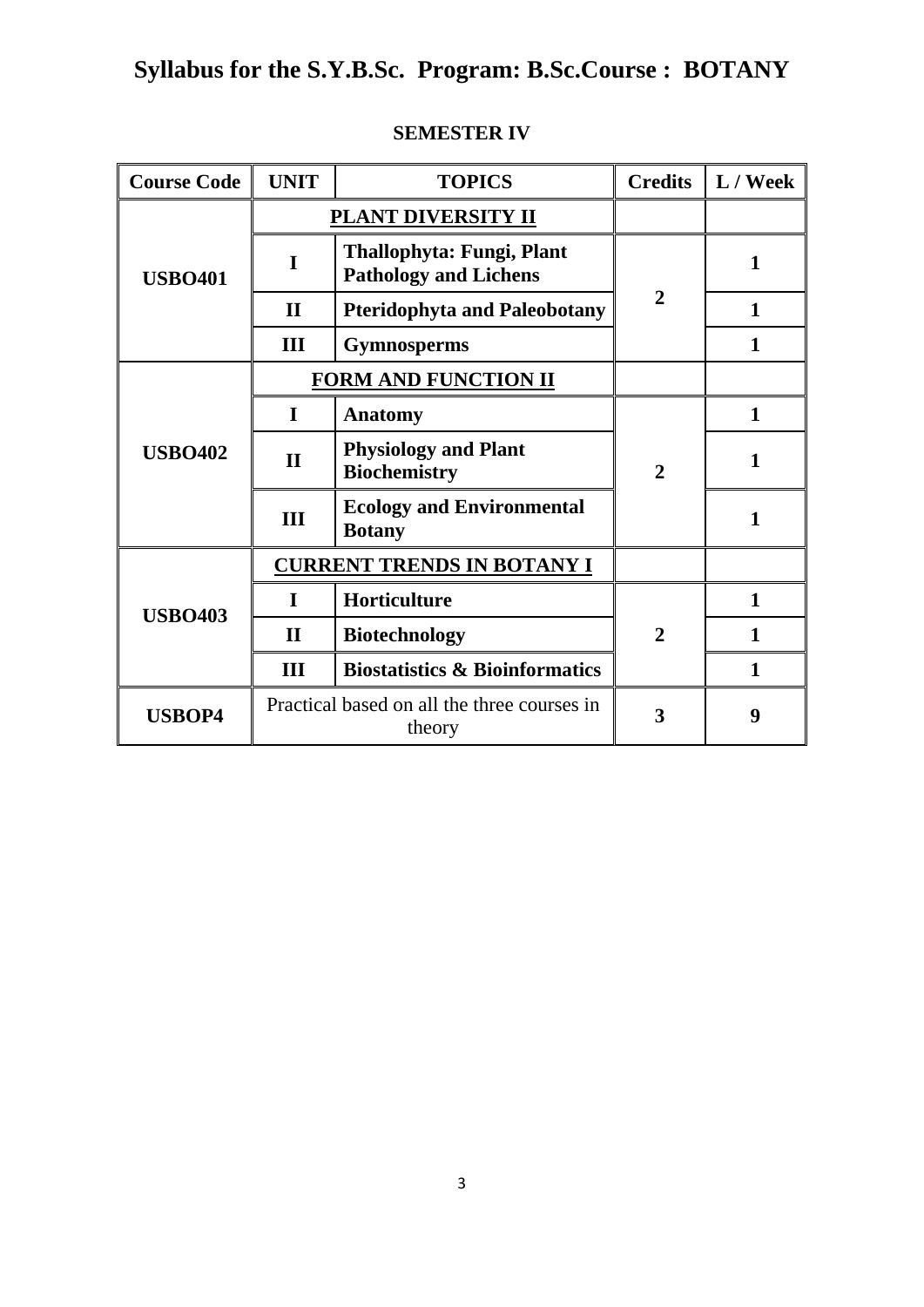| <b>Course Code</b> | <b>UNIT</b>  | <b>TOPICS</b>                                             | <b>Credits</b> | L / Week     |
|--------------------|--------------|-----------------------------------------------------------|----------------|--------------|
| <b>USBO401</b>     |              | PLANT DIVERSITY II                                        |                |              |
|                    | I            | Thallophyta: Fungi, Plant<br><b>Pathology and Lichens</b> |                | 1            |
|                    | $\mathbf{H}$ | <b>Pteridophyta and Paleobotany</b>                       | $\overline{2}$ | $\mathbf{1}$ |
|                    | III          | <b>Gymnosperms</b>                                        |                | 1            |
|                    |              | <b>FORM AND FUNCTION II</b>                               |                |              |
| <b>USBO402</b>     | $\mathbf I$  | <b>Anatomy</b>                                            |                | 1            |
|                    | $\mathbf{I}$ | <b>Physiology and Plant</b><br><b>Biochemistry</b>        | $\overline{2}$ | $\mathbf{1}$ |
|                    | III          | <b>Ecology and Environmental</b><br><b>Botany</b>         |                | 1            |
|                    |              | <b>CURRENT TRENDS IN BOTANY I</b>                         |                |              |
|                    | $\mathbf I$  | Horticulture                                              |                | 1            |
| <b>USBO403</b>     | $\mathbf H$  | <b>Biotechnology</b>                                      | $\mathbf 2$    | $\mathbf{1}$ |
|                    | III          | <b>Biostatistics &amp; Bioinformatics</b>                 |                | $\mathbf{1}$ |
| <b>USBOP4</b>      |              | Practical based on all the three courses in<br>theory     | 3              | 9            |

## **SEMESTER IV**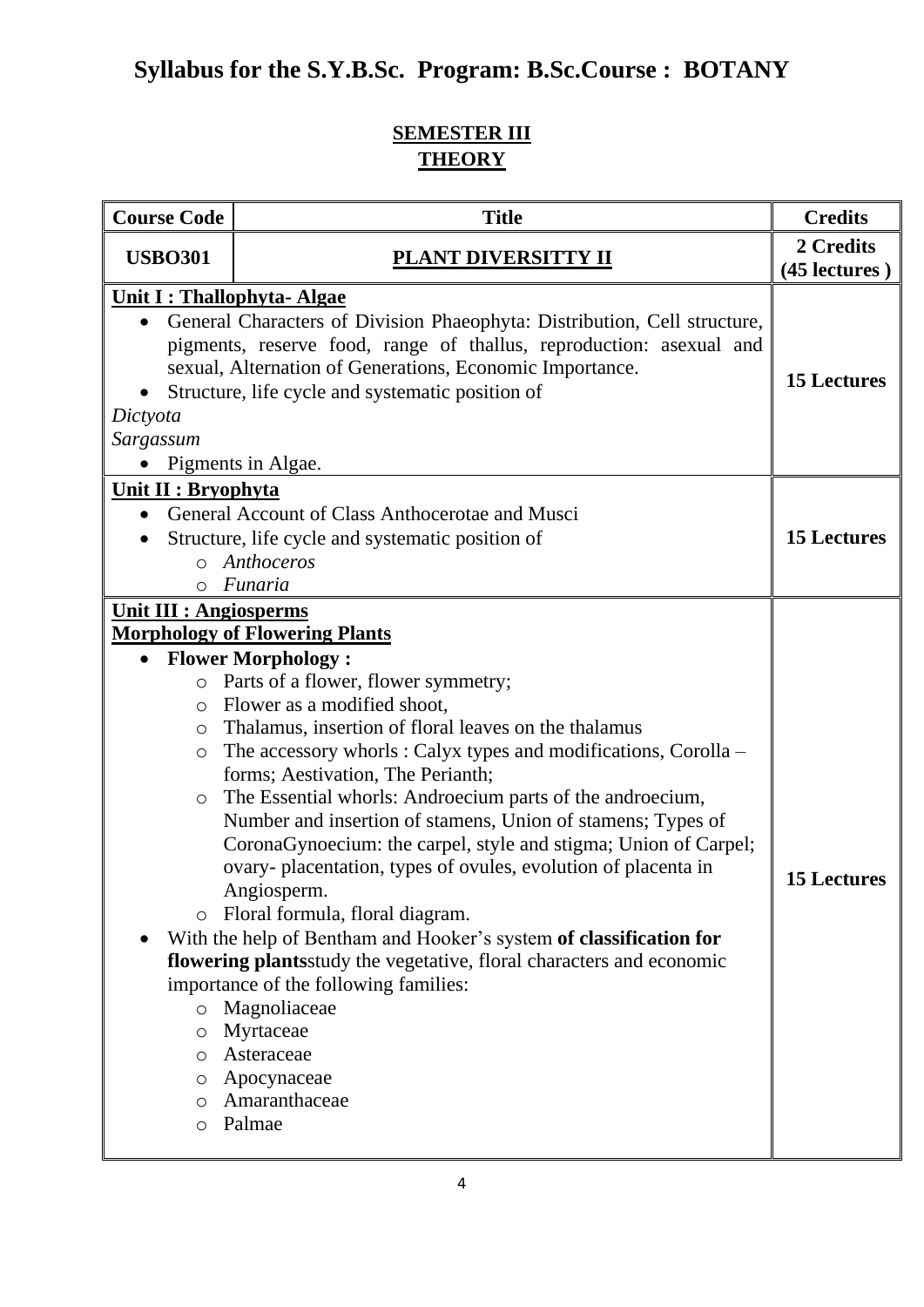## **SEMESTER III THEORY**

| <b>Course Code</b>                                                                                                                                             | <b>Title</b>                                                                                                                                                                                                                                                                                                                                                                                                                                                                                                                                                                                                                                                                                                                                                                                                                                                                                          | <b>Credits</b>     |
|----------------------------------------------------------------------------------------------------------------------------------------------------------------|-------------------------------------------------------------------------------------------------------------------------------------------------------------------------------------------------------------------------------------------------------------------------------------------------------------------------------------------------------------------------------------------------------------------------------------------------------------------------------------------------------------------------------------------------------------------------------------------------------------------------------------------------------------------------------------------------------------------------------------------------------------------------------------------------------------------------------------------------------------------------------------------------------|--------------------|
| <b>USBO301</b>                                                                                                                                                 | <b>PLANT DIVERSITTY II</b><br>(45 lectures)                                                                                                                                                                                                                                                                                                                                                                                                                                                                                                                                                                                                                                                                                                                                                                                                                                                           |                    |
| <b>Unit I: Thallophyta- Algae</b><br>Dictyota<br>Sargassum                                                                                                     | General Characters of Division Phaeophyta: Distribution, Cell structure,<br>pigments, reserve food, range of thallus, reproduction: asexual and<br>sexual, Alternation of Generations, Economic Importance.<br>Structure, life cycle and systematic position of<br>Pigments in Algae.                                                                                                                                                                                                                                                                                                                                                                                                                                                                                                                                                                                                                 | <b>15 Lectures</b> |
| Unit II : Bryophyta<br>$\bullet$<br>$\circ$                                                                                                                    | General Account of Class Anthocerotae and Musci<br>Structure, life cycle and systematic position of<br>o Anthoceros<br>Funaria                                                                                                                                                                                                                                                                                                                                                                                                                                                                                                                                                                                                                                                                                                                                                                        | <b>15 Lectures</b> |
| <b>Unit III : Angiosperms</b><br>$\circ$<br>$\circ$<br>$\circ$<br>$\circ$<br>$\bigcirc$<br>$\circ$<br>$\circ$<br>$\circ$<br>$\circ$<br>O<br>$\circ$<br>$\circ$ | <b>Morphology of Flowering Plants</b><br><b>Flower Morphology:</b><br>Parts of a flower, flower symmetry;<br>Flower as a modified shoot,<br>Thalamus, insertion of floral leaves on the thalamus<br>The accessory whorls: Calyx types and modifications, Corolla –<br>forms; Aestivation, The Perianth;<br>The Essential whorls: Androecium parts of the androecium,<br>Number and insertion of stamens, Union of stamens; Types of<br>CoronaGynoecium: the carpel, style and stigma; Union of Carpel;<br>ovary-placentation, types of ovules, evolution of placenta in<br>Angiosperm.<br>Floral formula, floral diagram.<br>With the help of Bentham and Hooker's system of classification for<br>flowering plantsstudy the vegetative, floral characters and economic<br>importance of the following families:<br>Magnoliaceae<br>Myrtaceae<br>Asteraceae<br>Apocynaceae<br>Amaranthaceae<br>Palmae | <b>15 Lectures</b> |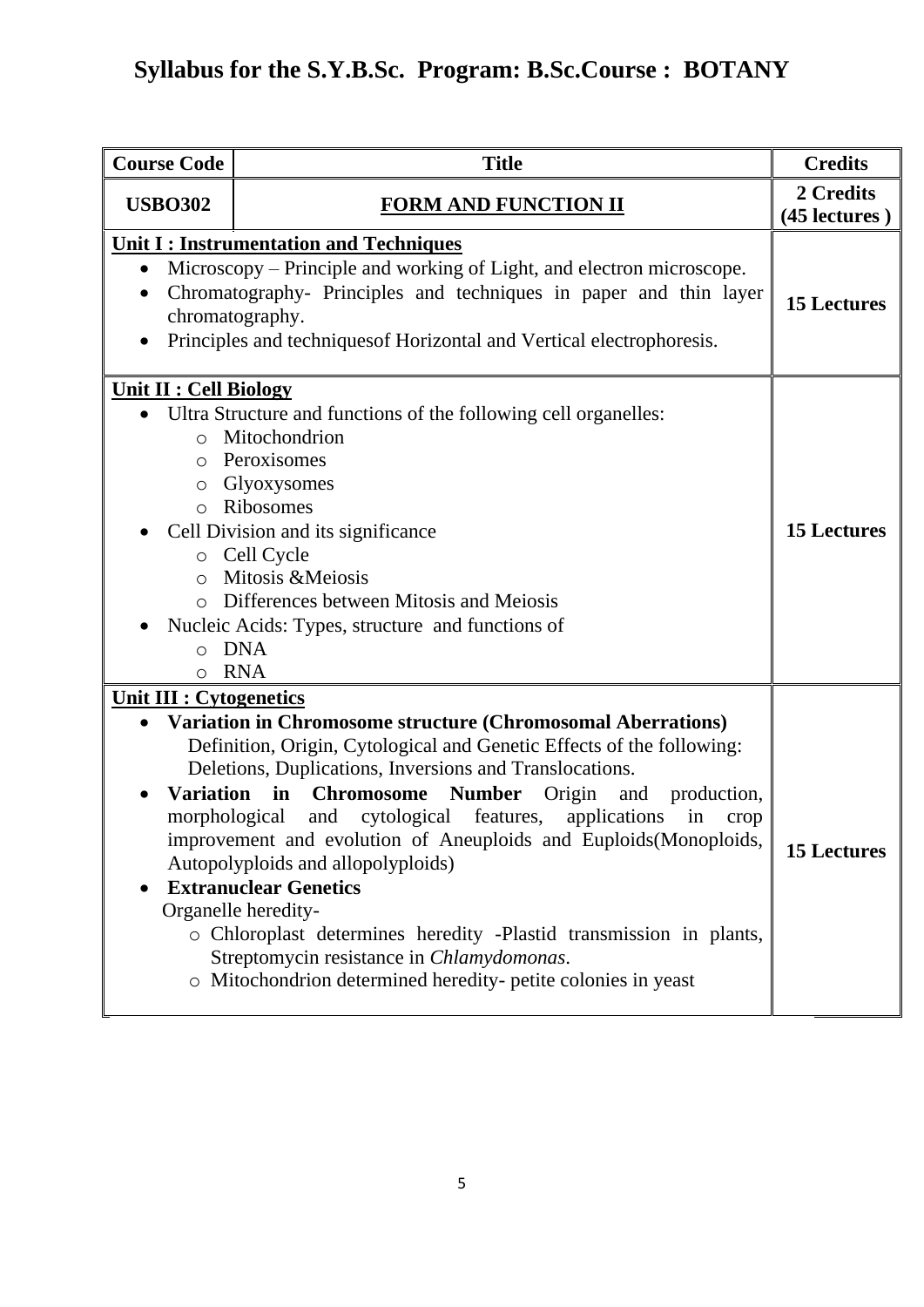| <b>Course Code</b>                                                                            | <b>Title</b>                                                                                                                                                                                                                                                                                                                                                                                                                                                                                                                                                                                                                                                                                             | <b>Credits</b>     |
|-----------------------------------------------------------------------------------------------|----------------------------------------------------------------------------------------------------------------------------------------------------------------------------------------------------------------------------------------------------------------------------------------------------------------------------------------------------------------------------------------------------------------------------------------------------------------------------------------------------------------------------------------------------------------------------------------------------------------------------------------------------------------------------------------------------------|--------------------|
| <b>USBO302</b>                                                                                | <b>FORM AND FUNCTION II</b>                                                                                                                                                                                                                                                                                                                                                                                                                                                                                                                                                                                                                                                                              |                    |
| $\bullet$<br>$\bullet$                                                                        | <b>Unit I: Instrumentation and Techniques</b><br>Microscopy – Principle and working of Light, and electron microscope.<br>Chromatography- Principles and techniques in paper and thin layer<br>chromatography.<br>Principles and techniques of Horizontal and Vertical electrophoresis.                                                                                                                                                                                                                                                                                                                                                                                                                  | <b>15 Lectures</b> |
| <b>Unit II : Cell Biology</b><br>$\circ$<br>O<br>$\circ$<br>$\Omega$<br>$\circ$<br>o DNA<br>O | • Ultra Structure and functions of the following cell organelles:<br>Mitochondrion<br>Peroxisomes<br>Glyoxysomes<br>o Ribosomes<br>Cell Division and its significance<br>o Cell Cycle<br>Mitosis & Meiosis<br>Differences between Mitosis and Meiosis<br>Nucleic Acids: Types, structure and functions of<br><b>RNA</b>                                                                                                                                                                                                                                                                                                                                                                                  | <b>15 Lectures</b> |
| <b>Unit III : Cytogenetics</b>                                                                | Variation in Chromosome structure (Chromosomal Aberrations)<br>Definition, Origin, Cytological and Genetic Effects of the following:<br>Deletions, Duplications, Inversions and Translocations.<br>Variation in Chromosome<br><b>Number</b><br>Origin and<br>production,<br>morphological<br>and cytological features,<br>applications<br>in<br>crop<br>improvement and evolution of Aneuploids and Euploids(Monoploids,<br>Autopolyploids and allopolyploids)<br><b>Extranuclear Genetics</b><br>Organelle heredity-<br>o Chloroplast determines heredity -Plastid transmission in plants,<br>Streptomycin resistance in Chlamydomonas.<br>o Mitochondrion determined heredity-petite colonies in yeast | <b>15 Lectures</b> |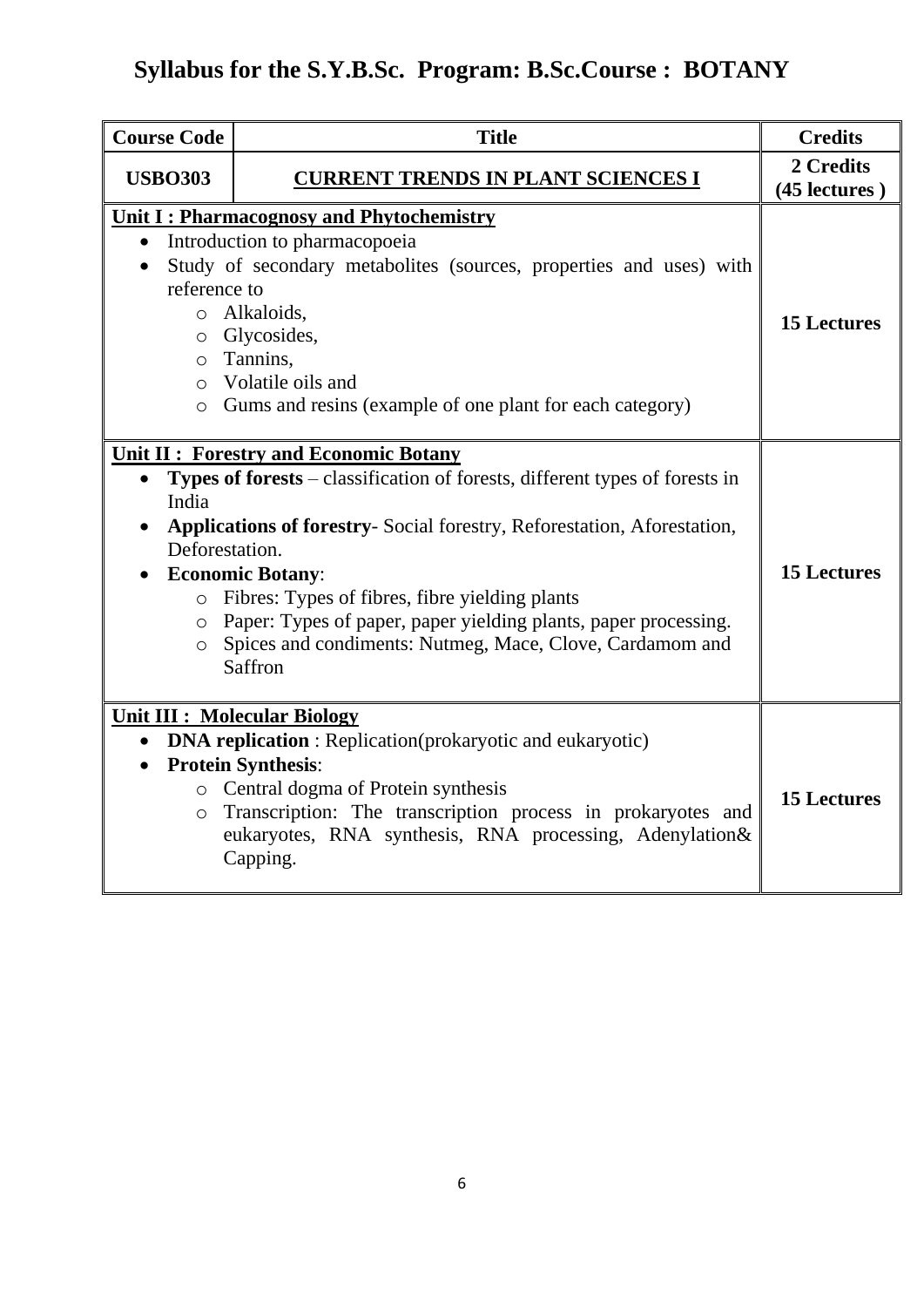| <b>Course Code</b>                                                    | <b>Title</b>                                                                                                                                                                                                                                                                                                                                                                                                                 | <b>Credits</b>     |
|-----------------------------------------------------------------------|------------------------------------------------------------------------------------------------------------------------------------------------------------------------------------------------------------------------------------------------------------------------------------------------------------------------------------------------------------------------------------------------------------------------------|--------------------|
| <b>USBO303</b>                                                        | <b>CURRENT TRENDS IN PLANT SCIENCES I</b>                                                                                                                                                                                                                                                                                                                                                                                    |                    |
| $\bullet$<br>reference to<br>$\circ$                                  | Unit I: Pharmacognosy and Phytochemistry<br>Introduction to pharmacopoeia<br>Study of secondary metabolites (sources, properties and uses) with<br>o Alkaloids,<br>o Glycosides,<br>o Tannins,<br>Volatile oils and<br>o Gums and resins (example of one plant for each category)                                                                                                                                            | <b>15 Lectures</b> |
| $\bullet$<br>India<br>Deforestation.<br>$\circ$<br>$\circ$<br>$\circ$ | <b>Unit II: Forestry and Economic Botany</b><br>Types of forests – classification of forests, different types of forests in<br>Applications of forestry-Social forestry, Reforestation, Aforestation,<br><b>Economic Botany:</b><br>Fibres: Types of fibres, fibre yielding plants<br>Paper: Types of paper, paper yielding plants, paper processing.<br>Spices and condiments: Nutmeg, Mace, Clove, Cardamom and<br>Saffron | <b>15 Lectures</b> |
| $\circ$                                                               | <b>Unit III : Molecular Biology</b><br><b>DNA replication</b> : Replication(prokaryotic and eukaryotic)<br><b>Protein Synthesis:</b><br>o Central dogma of Protein synthesis<br>Transcription: The transcription process in prokaryotes and<br>eukaryotes, RNA synthesis, RNA processing, Adenylation&<br>Capping.                                                                                                           | <b>15 Lectures</b> |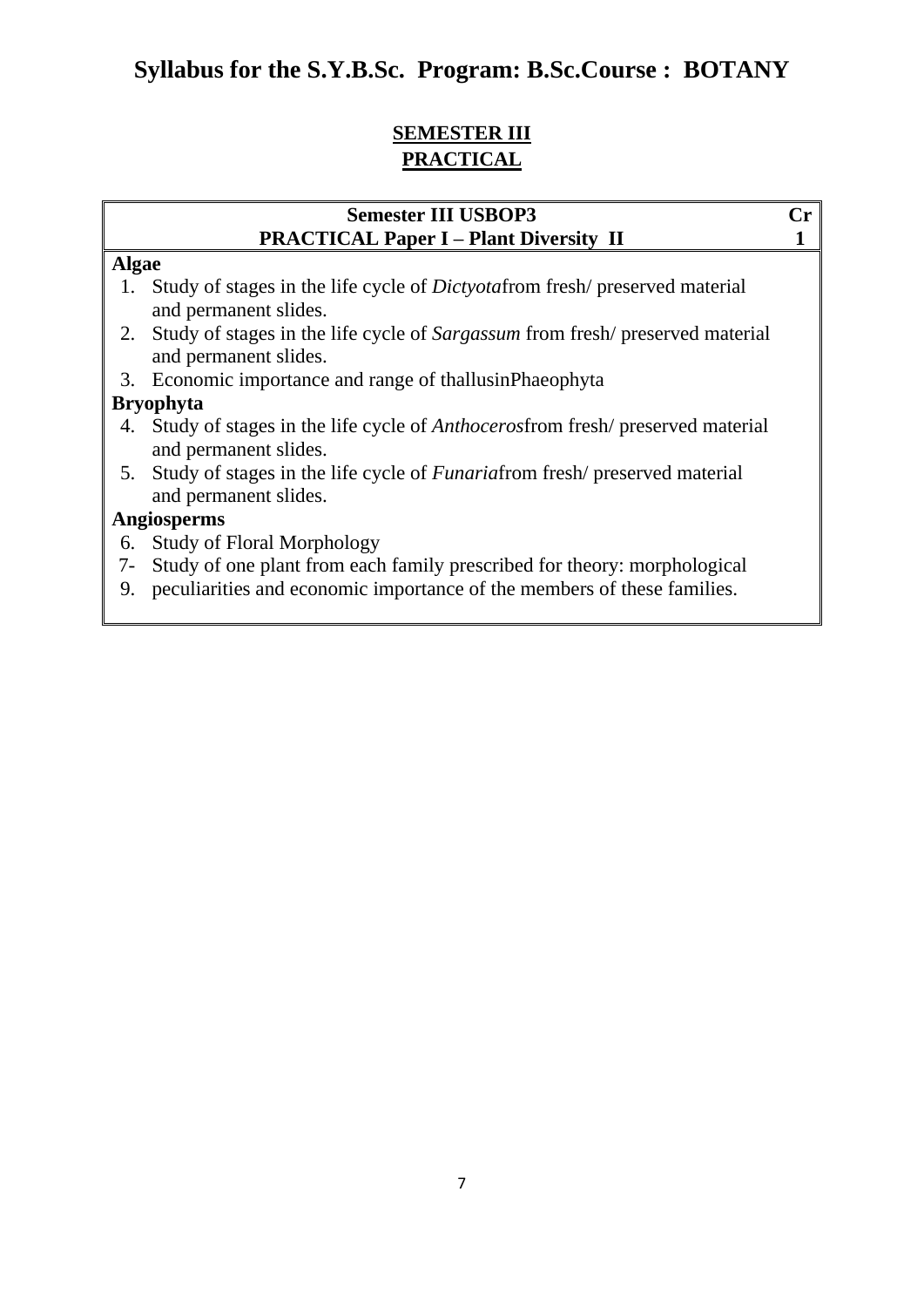## **SEMESTER III PRACTICAL**

### **Semester III USBOP3 Cr PRACTICAL Paper I – Plant Diversity II 1**

#### **Algae**

- 1. Study of stages in the life cycle of *Dictyota*from fresh/ preserved material and permanent slides.
- 2. Study of stages in the life cycle of *Sargassum* from fresh/ preserved material and permanent slides.
- 3. Economic importance and range of thallusinPhaeophyta

### **Bryophyta**

- 4. Study of stages in the life cycle of *Anthoceros*from fresh/ preserved material and permanent slides.
- 5. Study of stages in the life cycle of *Funaria*from fresh/ preserved material and permanent slides.

### **Angiosperms**

- 6. Study of Floral Morphology
- 7- Study of one plant from each family prescribed for theory: morphological
- 9. peculiarities and economic importance of the members of these families.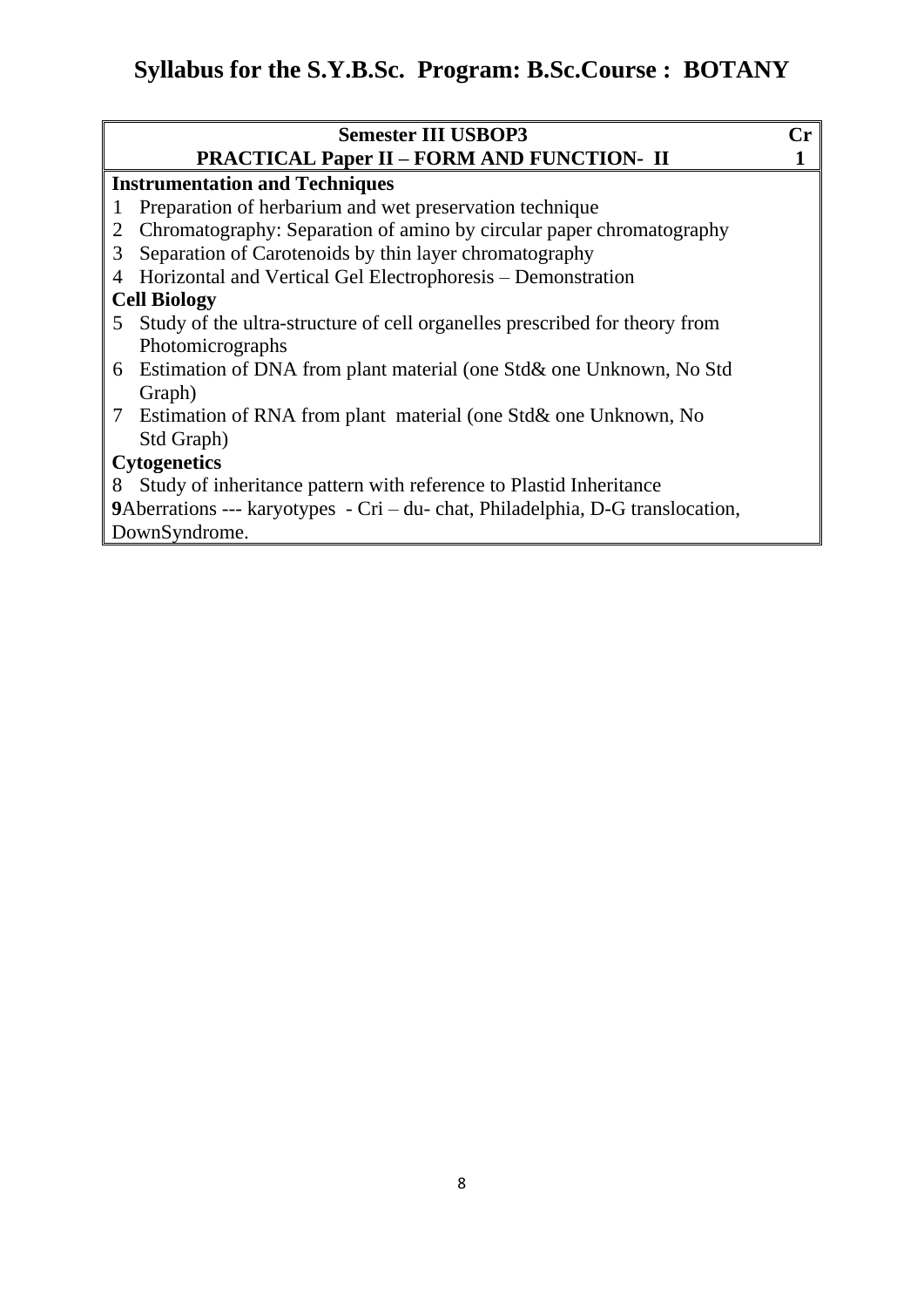|              | <b>Semester III USBOP3</b>                                                     | Cr. |  |  |
|--------------|--------------------------------------------------------------------------------|-----|--|--|
|              | <b>PRACTICAL Paper II - FORM AND FUNCTION- II</b>                              |     |  |  |
|              | <b>Instrumentation and Techniques</b>                                          |     |  |  |
| $\mathbf{I}$ | Preparation of herbarium and wet preservation technique                        |     |  |  |
| 2            | Chromatography: Separation of amino by circular paper chromatography           |     |  |  |
| 3            | Separation of Carotenoids by thin layer chromatography                         |     |  |  |
| 4            | Horizontal and Vertical Gel Electrophoresis – Demonstration                    |     |  |  |
|              | <b>Cell Biology</b>                                                            |     |  |  |
| 5            | Study of the ultra-structure of cell organelles prescribed for theory from     |     |  |  |
|              | Photomicrographs                                                               |     |  |  |
|              | 6 Estimation of DNA from plant material (one Std& one Unknown, No Std          |     |  |  |
|              | Graph)                                                                         |     |  |  |
|              | 7 Estimation of RNA from plant material (one Std& one Unknown, No              |     |  |  |
|              | Std Graph)                                                                     |     |  |  |
|              | <b>Cytogenetics</b>                                                            |     |  |  |
| 8            | Study of inheritance pattern with reference to Plastid Inheritance             |     |  |  |
|              | 9Aberrations --- karyotypes - Cri – du- chat, Philadelphia, D-G translocation, |     |  |  |
|              | DownSyndrome.                                                                  |     |  |  |
|              |                                                                                |     |  |  |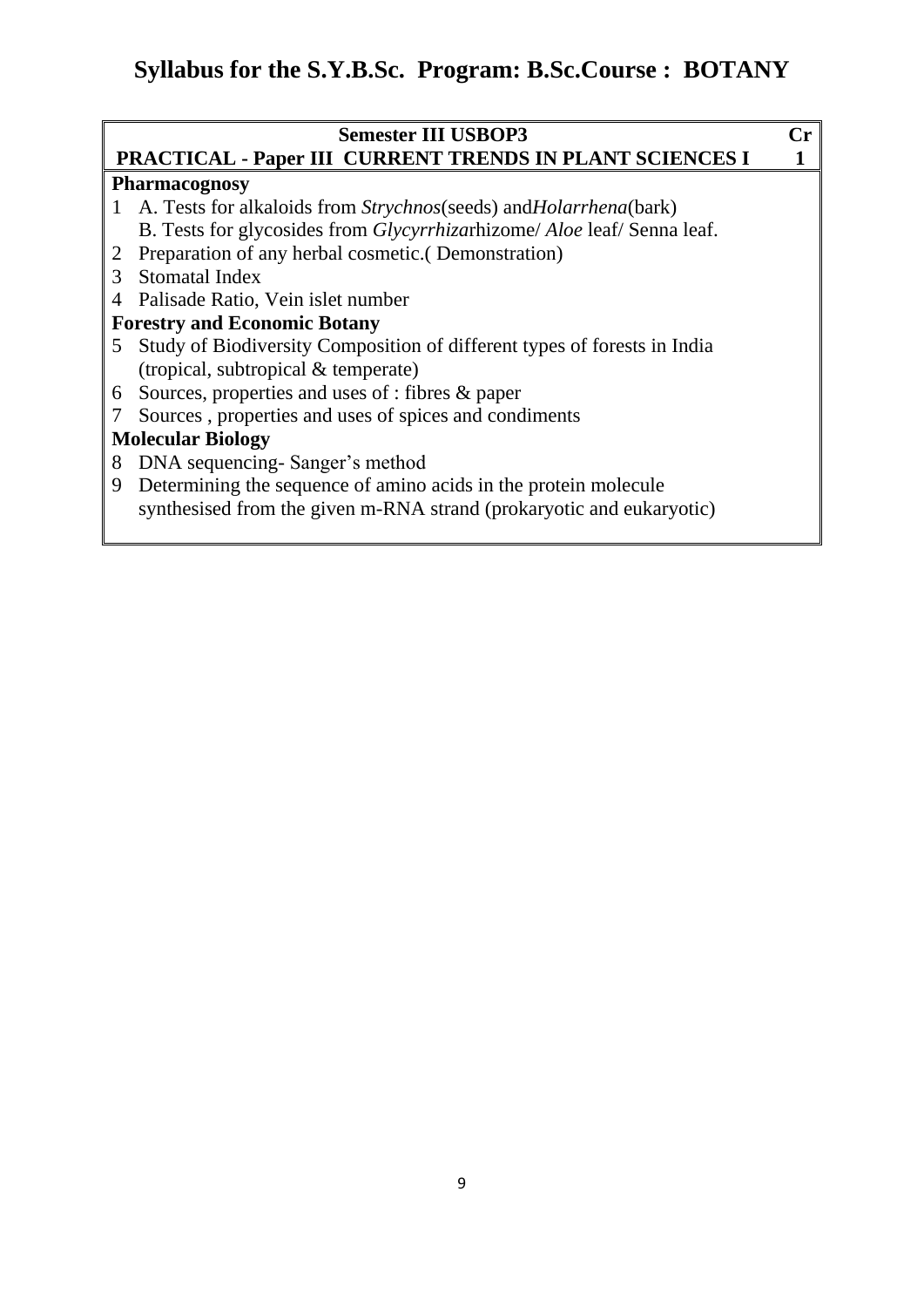| <b>PRACTICAL - Paper III CURRENT TRENDS IN PLANT SCIENCES I</b><br><b>Pharmacognosy</b><br>A. Tests for alkaloids from <i>Strychnos</i> (seeds) and <i>Holarrhena</i> (bark)<br>1<br>B. Tests for glycosides from <i>Glycyrrhizarhizome</i> / <i>Aloe</i> leaf/ Senna leaf.<br>Preparation of any herbal cosmetic. (Demonstration)<br>2<br>Stomatal Index<br>3<br>Palisade Ratio, Vein islet number<br>4 | <b>Semester III USBOP3</b><br>Cr. |                                     |  |
|----------------------------------------------------------------------------------------------------------------------------------------------------------------------------------------------------------------------------------------------------------------------------------------------------------------------------------------------------------------------------------------------------------|-----------------------------------|-------------------------------------|--|
|                                                                                                                                                                                                                                                                                                                                                                                                          |                                   |                                     |  |
|                                                                                                                                                                                                                                                                                                                                                                                                          |                                   |                                     |  |
|                                                                                                                                                                                                                                                                                                                                                                                                          |                                   |                                     |  |
|                                                                                                                                                                                                                                                                                                                                                                                                          |                                   |                                     |  |
|                                                                                                                                                                                                                                                                                                                                                                                                          |                                   |                                     |  |
|                                                                                                                                                                                                                                                                                                                                                                                                          |                                   |                                     |  |
|                                                                                                                                                                                                                                                                                                                                                                                                          |                                   |                                     |  |
|                                                                                                                                                                                                                                                                                                                                                                                                          |                                   | <b>Forestry and Economic Botany</b> |  |
| Study of Biodiversity Composition of different types of forests in India<br>5.                                                                                                                                                                                                                                                                                                                           |                                   |                                     |  |
| (tropical, subtropical & temperate)                                                                                                                                                                                                                                                                                                                                                                      |                                   |                                     |  |
| Sources, properties and uses of : fibres & paper<br>6                                                                                                                                                                                                                                                                                                                                                    |                                   |                                     |  |
| Sources, properties and uses of spices and condiments                                                                                                                                                                                                                                                                                                                                                    |                                   |                                     |  |
| <b>Molecular Biology</b>                                                                                                                                                                                                                                                                                                                                                                                 |                                   |                                     |  |
| DNA sequencing - Sanger's method<br>8                                                                                                                                                                                                                                                                                                                                                                    |                                   |                                     |  |
| Determining the sequence of amino acids in the protein molecule<br>9                                                                                                                                                                                                                                                                                                                                     |                                   |                                     |  |
| synthesised from the given m-RNA strand (prokaryotic and eukaryotic)                                                                                                                                                                                                                                                                                                                                     |                                   |                                     |  |
|                                                                                                                                                                                                                                                                                                                                                                                                          |                                   |                                     |  |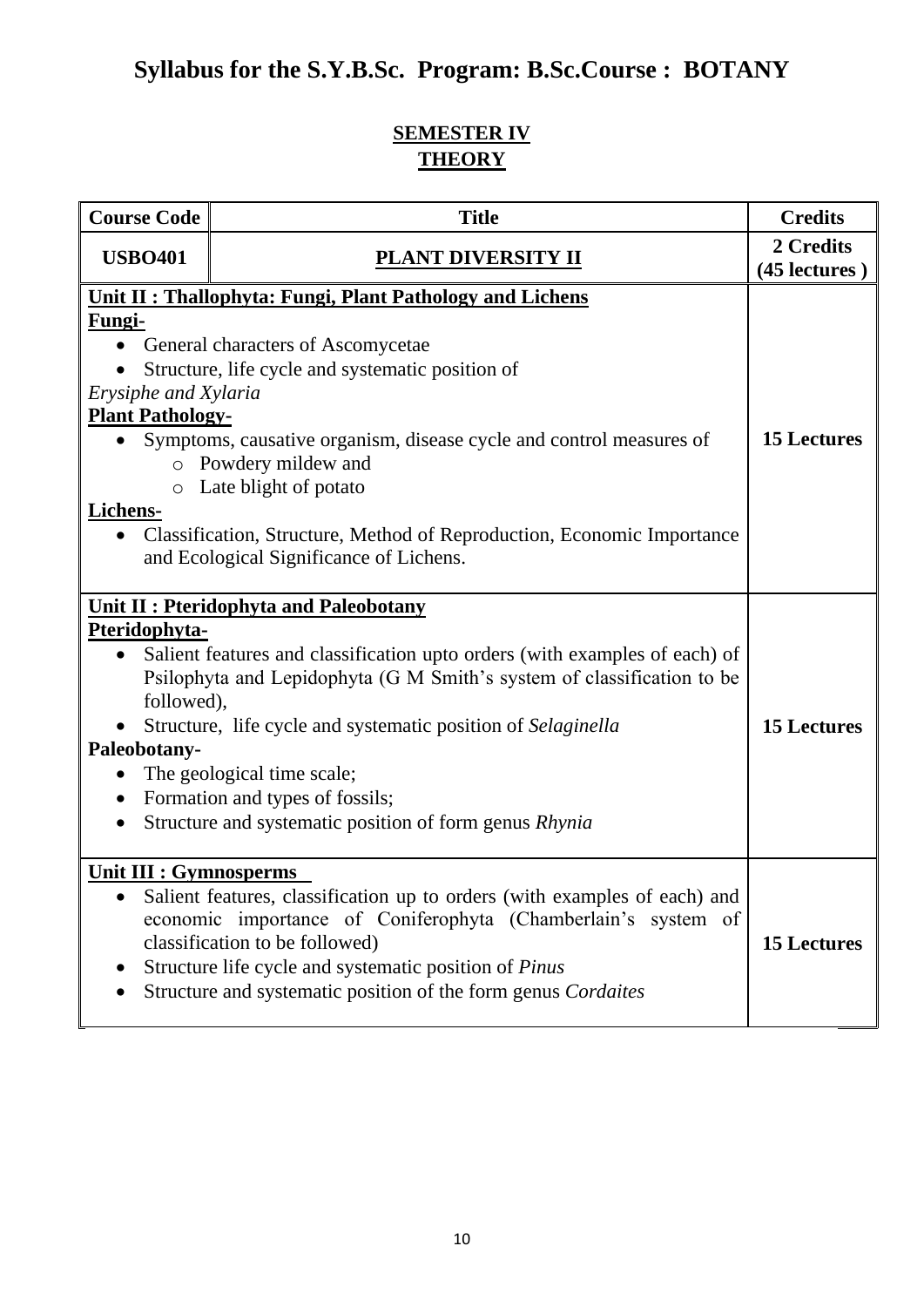## **SEMESTER IV THEORY**

| <b>Course Code</b>                                                                                                                                                                                                                                                                                                                                                                                                                                                                                                        | <b>Title</b>                                                                                                                                                                                                                                                                                                  | <b>Credits</b>             |
|---------------------------------------------------------------------------------------------------------------------------------------------------------------------------------------------------------------------------------------------------------------------------------------------------------------------------------------------------------------------------------------------------------------------------------------------------------------------------------------------------------------------------|---------------------------------------------------------------------------------------------------------------------------------------------------------------------------------------------------------------------------------------------------------------------------------------------------------------|----------------------------|
| <b>USBO401</b>                                                                                                                                                                                                                                                                                                                                                                                                                                                                                                            | <b>PLANT DIVERSITY II</b>                                                                                                                                                                                                                                                                                     | 2 Credits<br>(45 lectures) |
| Unit II : Thallophyta: Fungi, Plant Pathology and Lichens<br>Fungi-<br><b>General characters of Ascomycetae</b><br>Structure, life cycle and systematic position of<br>Erysiphe and Xylaria<br><b>Plant Pathology-</b><br><b>15 Lectures</b><br>Symptoms, causative organism, disease cycle and control measures of<br>Powdery mildew and<br>$\circ$<br>Late blight of potato<br>$\circ$<br>Lichens-<br>Classification, Structure, Method of Reproduction, Economic Importance<br>and Ecological Significance of Lichens. |                                                                                                                                                                                                                                                                                                               |                            |
| <b>Unit II: Pteridophyta and Paleobotany</b><br>Pteridophyta-<br>Salient features and classification upto orders (with examples of each) of<br>Psilophyta and Lepidophyta (G M Smith's system of classification to be<br>followed),<br>Structure, life cycle and systematic position of Selaginella<br>Paleobotany-<br>The geological time scale;<br>Formation and types of fossils;<br>$\bullet$<br>Structure and systematic position of form genus Rhynia                                                               |                                                                                                                                                                                                                                                                                                               | <b>15 Lectures</b>         |
| <b>Unit III : Gymnosperms</b>                                                                                                                                                                                                                                                                                                                                                                                                                                                                                             | Salient features, classification up to orders (with examples of each) and<br>economic importance of Coniferophyta (Chamberlain's system of<br>classification to be followed)<br>Structure life cycle and systematic position of <i>Pinus</i><br>Structure and systematic position of the form genus Cordaites | <b>15 Lectures</b>         |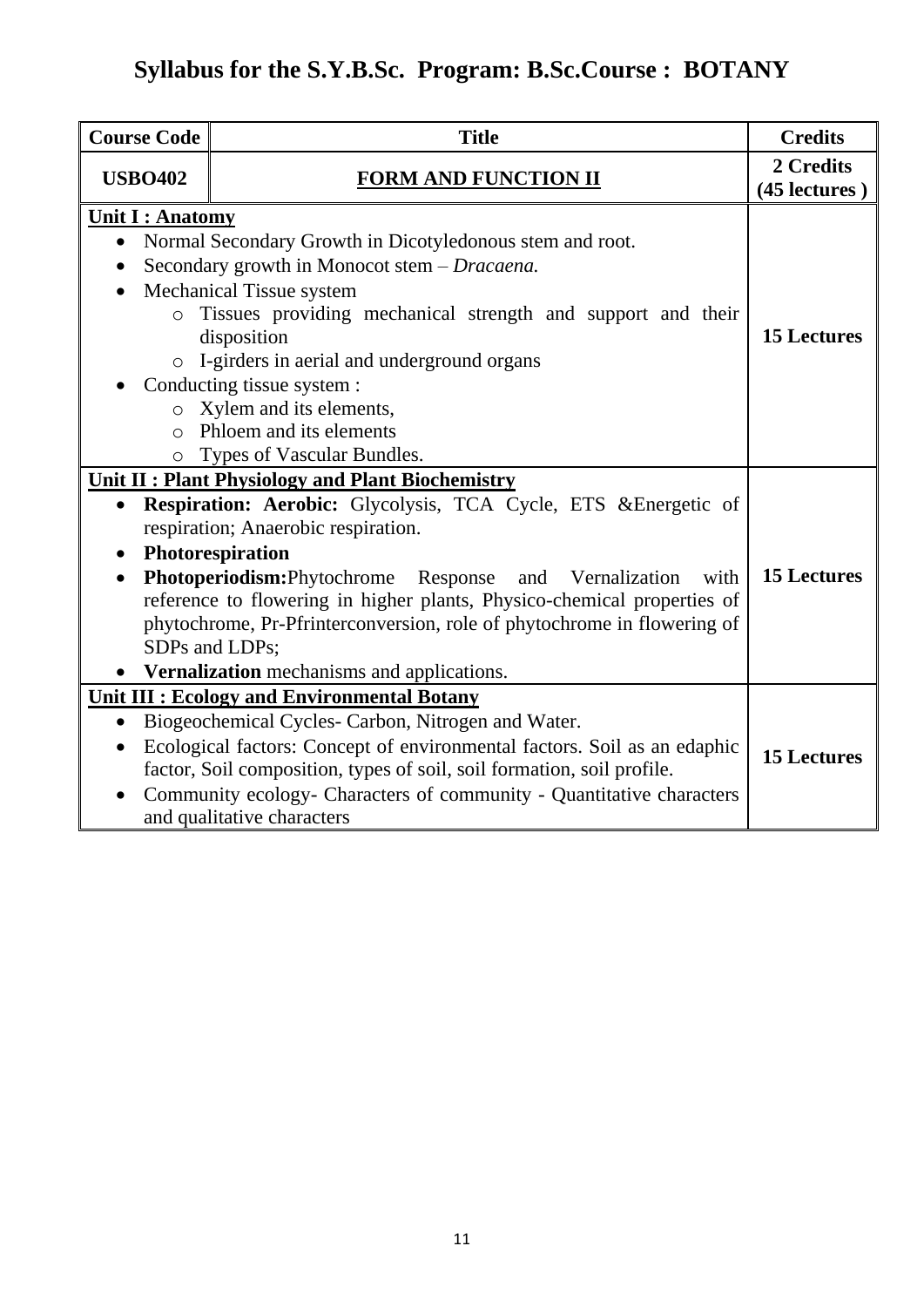| <b>Course Code</b>                                      | <b>Title</b>                                                                                                                              | <b>Credits</b>             |
|---------------------------------------------------------|-------------------------------------------------------------------------------------------------------------------------------------------|----------------------------|
| <b>USBO402</b>                                          | <b>FORM AND FUNCTION II</b>                                                                                                               | 2 Credits<br>(45 lectures) |
| <b>Unit I: Anatomy</b>                                  |                                                                                                                                           |                            |
| $\bullet$                                               | Normal Secondary Growth in Dicotyledonous stem and root.                                                                                  |                            |
|                                                         | Secondary growth in Monocot stem - Dracaena.                                                                                              |                            |
| $\bullet$                                               | Mechanical Tissue system                                                                                                                  |                            |
| $\circ$                                                 | Tissues providing mechanical strength and support and their                                                                               |                            |
|                                                         | disposition                                                                                                                               | <b>15 Lectures</b>         |
| $\circ$                                                 | I-girders in aerial and underground organs                                                                                                |                            |
|                                                         | Conducting tissue system :                                                                                                                |                            |
|                                                         | o Xylem and its elements,                                                                                                                 |                            |
| $\bigcap$                                               | Phloem and its elements                                                                                                                   |                            |
| O                                                       | Types of Vascular Bundles.                                                                                                                |                            |
| <b>Unit II: Plant Physiology and Plant Biochemistry</b> |                                                                                                                                           |                            |
|                                                         | Respiration: Aerobic: Glycolysis, TCA Cycle, ETS & Energetic of                                                                           |                            |
|                                                         | respiration; Anaerobic respiration.                                                                                                       |                            |
|                                                         | Photorespiration                                                                                                                          |                            |
| $\bullet$                                               | Photoperiodism: Phytochrome Response and Vernalization<br>with<br>reference to flowering in higher plants, Physico-chemical properties of | <b>15 Lectures</b>         |
|                                                         | phytochrome, Pr-Pfrinterconversion, role of phytochrome in flowering of                                                                   |                            |
|                                                         | SDPs and LDPs;                                                                                                                            |                            |
|                                                         | • Vernalization mechanisms and applications.                                                                                              |                            |
| Unit III : Ecology and Environmental Botany             |                                                                                                                                           |                            |
| $\bullet$                                               | Biogeochemical Cycles- Carbon, Nitrogen and Water.                                                                                        |                            |
|                                                         | Ecological factors: Concept of environmental factors. Soil as an edaphic                                                                  |                            |
|                                                         | factor, Soil composition, types of soil, soil formation, soil profile.                                                                    | <b>15 Lectures</b>         |
|                                                         | Community ecology- Characters of community - Quantitative characters                                                                      |                            |
|                                                         | and qualitative characters                                                                                                                |                            |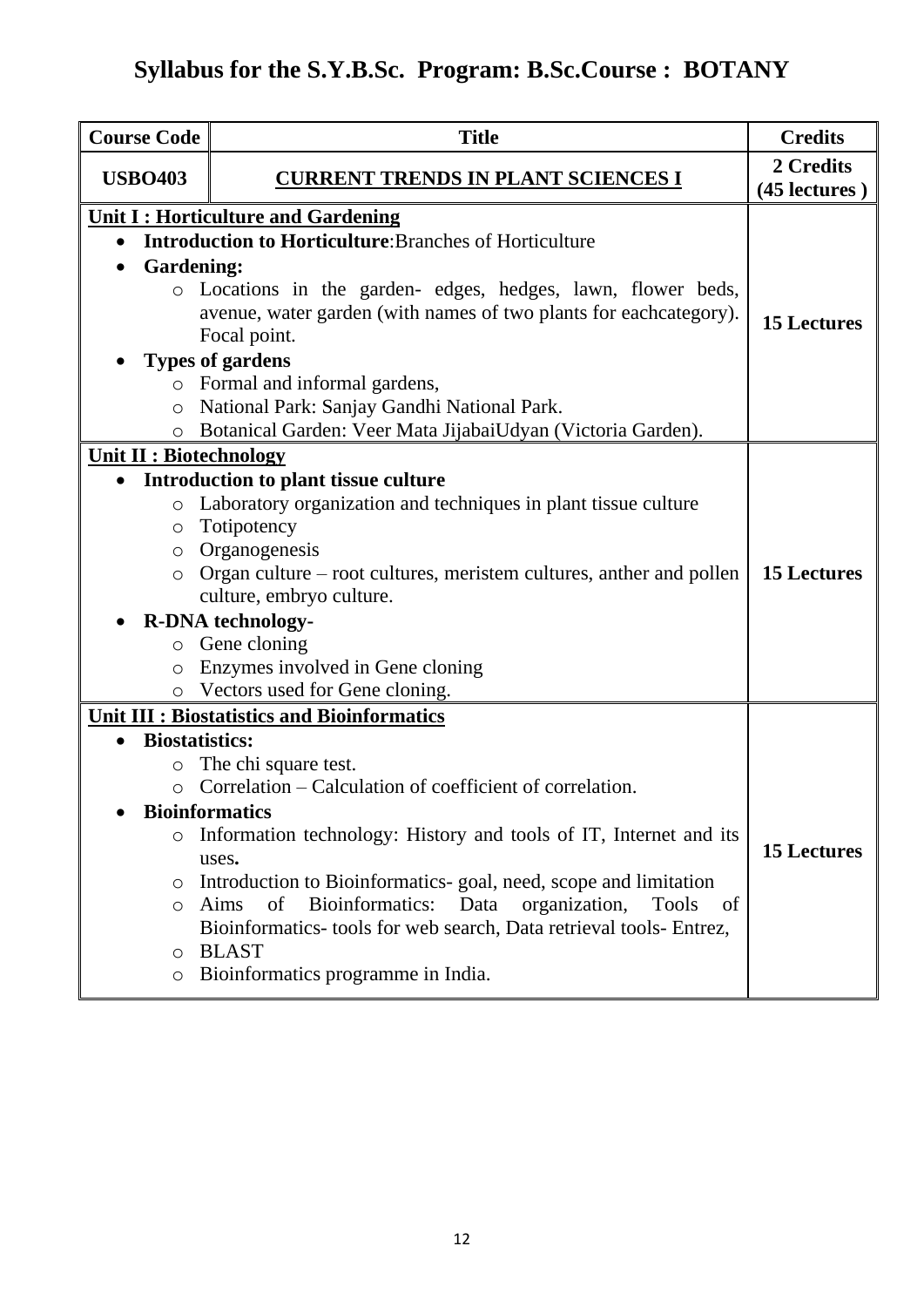| <b>Course Code</b>             | <b>Title</b>                                                                 | <b>Credits</b>             |
|--------------------------------|------------------------------------------------------------------------------|----------------------------|
| <b>USBO403</b>                 | <u>CURRENT TRENDS IN PLANT SCIENCES I</u>                                    | 2 Credits<br>(45 lectures) |
|                                | <b>Unit I: Horticulture and Gardening</b>                                    |                            |
| $\bullet$                      | <b>Introduction to Horticulture:</b> Branches of Horticulture                |                            |
| <b>Gardening:</b><br>$\bullet$ |                                                                              |                            |
|                                | Locations in the garden- edges, hedges, lawn, flower beds,                   |                            |
|                                | avenue, water garden (with names of two plants for eachcategory).            | <b>15 Lectures</b>         |
|                                | Focal point.                                                                 |                            |
|                                | <b>Types of gardens</b>                                                      |                            |
|                                | o Formal and informal gardens,                                               |                            |
| $\circ$                        | National Park: Sanjay Gandhi National Park.                                  |                            |
| $\circ$                        | Botanical Garden: Veer Mata JijabaiUdyan (Victoria Garden).                  |                            |
| <b>Unit II: Biotechnology</b>  |                                                                              |                            |
| $\bullet$                      | Introduction to plant tissue culture                                         |                            |
| $\circ$                        | Laboratory organization and techniques in plant tissue culture               |                            |
| $\circ$                        | Totipotency                                                                  |                            |
| $\circ$                        | Organogenesis                                                                |                            |
| $\circ$                        | Organ culture – root cultures, meristem cultures, anther and pollen          | <b>15 Lectures</b>         |
|                                | culture, embryo culture.                                                     |                            |
|                                | <b>R-DNA</b> technology-                                                     |                            |
| $\circ$                        | Gene cloning                                                                 |                            |
| $\circ$                        | Enzymes involved in Gene cloning                                             |                            |
|                                | Vectors used for Gene cloning.                                               |                            |
|                                | Unit III : Biostatistics and Bioinformatics                                  |                            |
|                                | <b>Biostatistics:</b>                                                        |                            |
| $\bigcirc$                     | The chi square test.                                                         |                            |
| $\circ$                        | Correlation – Calculation of coefficient of correlation.                     |                            |
|                                | <b>Bioinformatics</b>                                                        |                            |
| $\circ$                        | Information technology: History and tools of IT, Internet and its            |                            |
|                                | uses.                                                                        | <b>15 Lectures</b>         |
| $\circ$                        | Introduction to Bioinformatics-goal, need, scope and limitation              |                            |
| $\circ$                        | of<br>Bioinformatics:<br>Data<br>organization,<br>Aims<br><b>Tools</b><br>of |                            |
|                                | Bioinformatics- tools for web search, Data retrieval tools- Entrez,          |                            |
| $\circ$                        | <b>BLAST</b>                                                                 |                            |
| $\circ$                        | Bioinformatics programme in India.                                           |                            |
|                                |                                                                              |                            |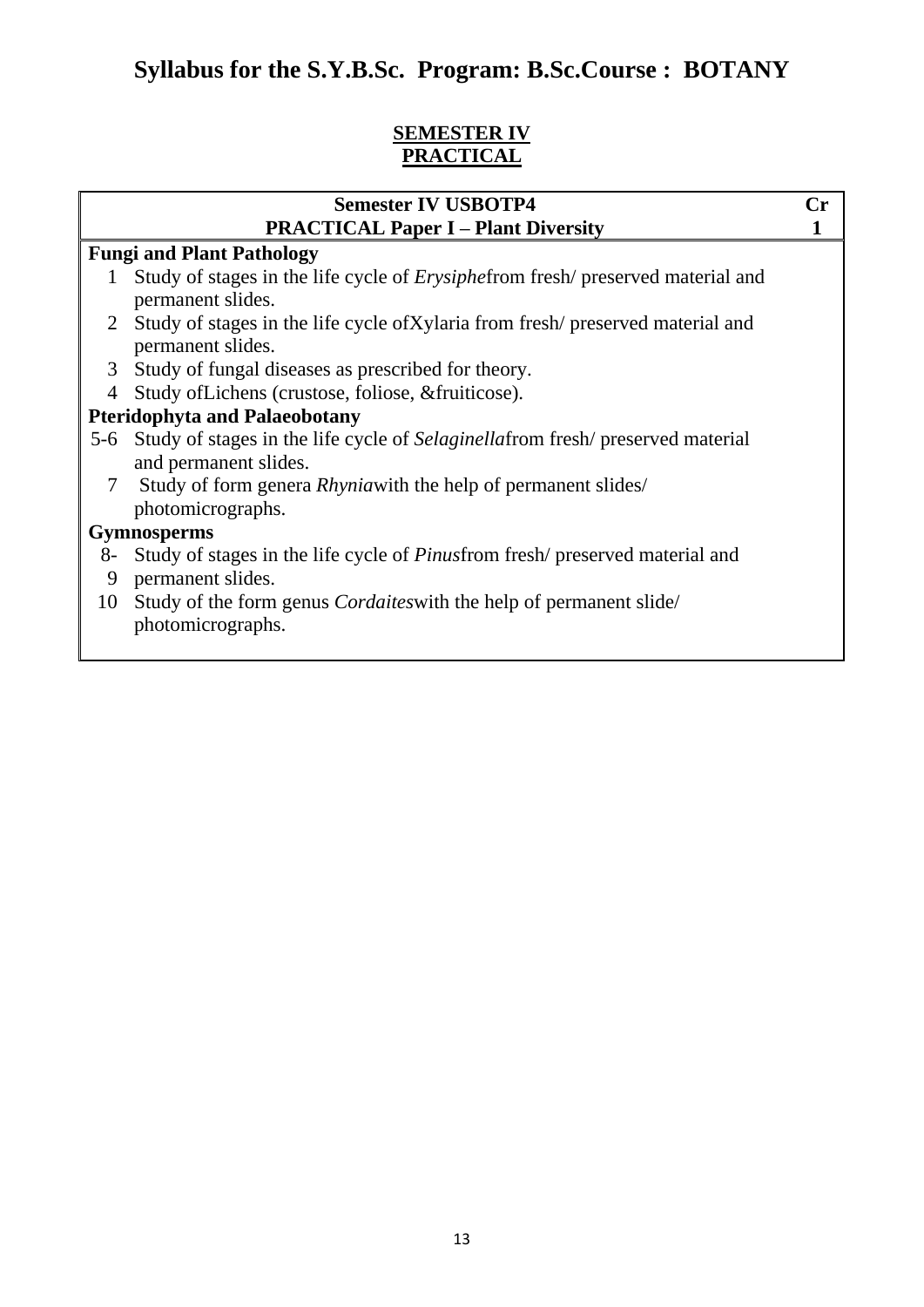### **SEMESTER IV PRACTICAL**

|                | <b>Semester IV USBOTP4</b>                                                                                  | Сr |  |
|----------------|-------------------------------------------------------------------------------------------------------------|----|--|
|                | <b>PRACTICAL Paper I – Plant Diversity</b>                                                                  |    |  |
|                | <b>Fungi and Plant Pathology</b>                                                                            |    |  |
| $\mathbf{I}$   | Study of stages in the life cycle of <i>Erysiphefrom</i> fresh/ preserved material and                      |    |  |
|                | permanent slides.                                                                                           |    |  |
|                | 2 Study of stages in the life cycle of Xylaria from fresh/preserved material and<br>permanent slides.       |    |  |
|                | 3 Study of fungal diseases as prescribed for theory.                                                        |    |  |
| $\overline{4}$ | Study of Lichens (crustose, foliose, & fruiticose).                                                         |    |  |
|                | <b>Pteridophyta and Palaeobotany</b>                                                                        |    |  |
|                | 5-6 Study of stages in the life cycle of Selaginellafrom fresh/ preserved material<br>and permanent slides. |    |  |
| 7              | Study of form genera <i>Rhynia</i> with the help of permanent slides/<br>photomicrographs.                  |    |  |
|                | <b>Gymnosperms</b>                                                                                          |    |  |
| 8-             | Study of stages in the life cycle of <i>Pinusfrom</i> fresh/ preserved material and                         |    |  |
| 9              | permanent slides.                                                                                           |    |  |
| 10             | Study of the form genus <i>Cordaites</i> with the help of permanent slide<br>photomicrographs.              |    |  |
|                |                                                                                                             |    |  |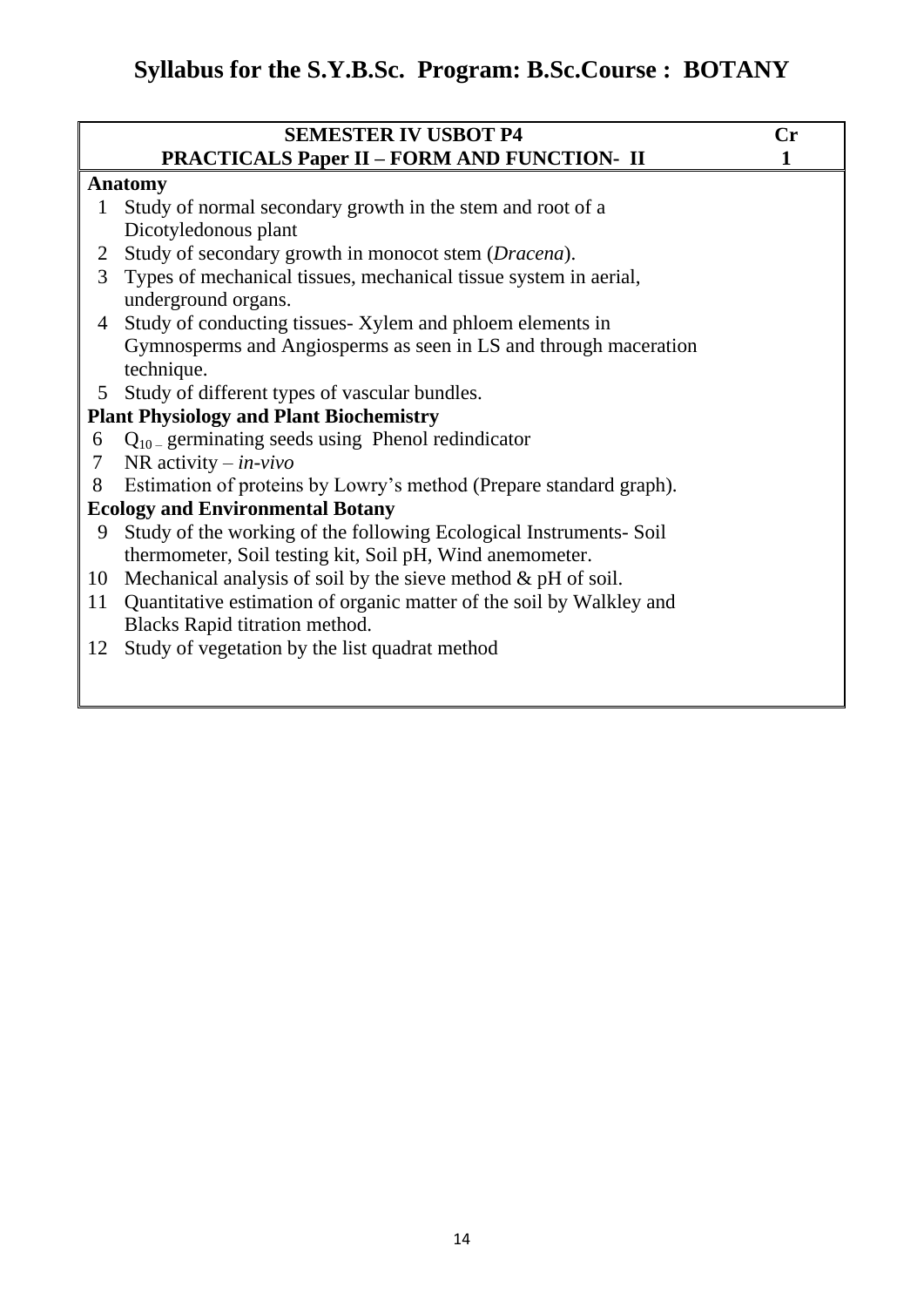| <b>SEMESTER IV USBOT P4</b>                                          | $\mathbf{Cr}$                                                                                                     |
|----------------------------------------------------------------------|-------------------------------------------------------------------------------------------------------------------|
| <b>PRACTICALS Paper II - FORM AND FUNCTION- II</b>                   |                                                                                                                   |
|                                                                      |                                                                                                                   |
| Study of normal secondary growth in the stem and root of a           |                                                                                                                   |
| Dicotyledonous plant                                                 |                                                                                                                   |
| Study of secondary growth in monocot stem (Dracena).                 |                                                                                                                   |
| Types of mechanical tissues, mechanical tissue system in aerial,     |                                                                                                                   |
| underground organs.                                                  |                                                                                                                   |
| Study of conducting tissues- Xylem and phloem elements in            |                                                                                                                   |
| Gymnosperms and Angiosperms as seen in LS and through maceration     |                                                                                                                   |
| technique.                                                           |                                                                                                                   |
| Study of different types of vascular bundles.                        |                                                                                                                   |
|                                                                      |                                                                                                                   |
| $Q_{10}$ germinating seeds using Phenol redindicator                 |                                                                                                                   |
| NR activity $-$ in-vivo                                              |                                                                                                                   |
| Estimation of proteins by Lowry's method (Prepare standard graph).   |                                                                                                                   |
|                                                                      |                                                                                                                   |
| Study of the working of the following Ecological Instruments-Soil    |                                                                                                                   |
| thermometer, Soil testing kit, Soil pH, Wind anemometer.             |                                                                                                                   |
| Mechanical analysis of soil by the sieve method $\&$ pH of soil.     |                                                                                                                   |
| Quantitative estimation of organic matter of the soil by Walkley and |                                                                                                                   |
| Blacks Rapid titration method.                                       |                                                                                                                   |
| Study of vegetation by the list quadrat method                       |                                                                                                                   |
|                                                                      |                                                                                                                   |
|                                                                      | <b>Anatomy</b><br><b>Plant Physiology and Plant Biochemistry</b><br><b>Ecology and Environmental Botany</b><br>12 |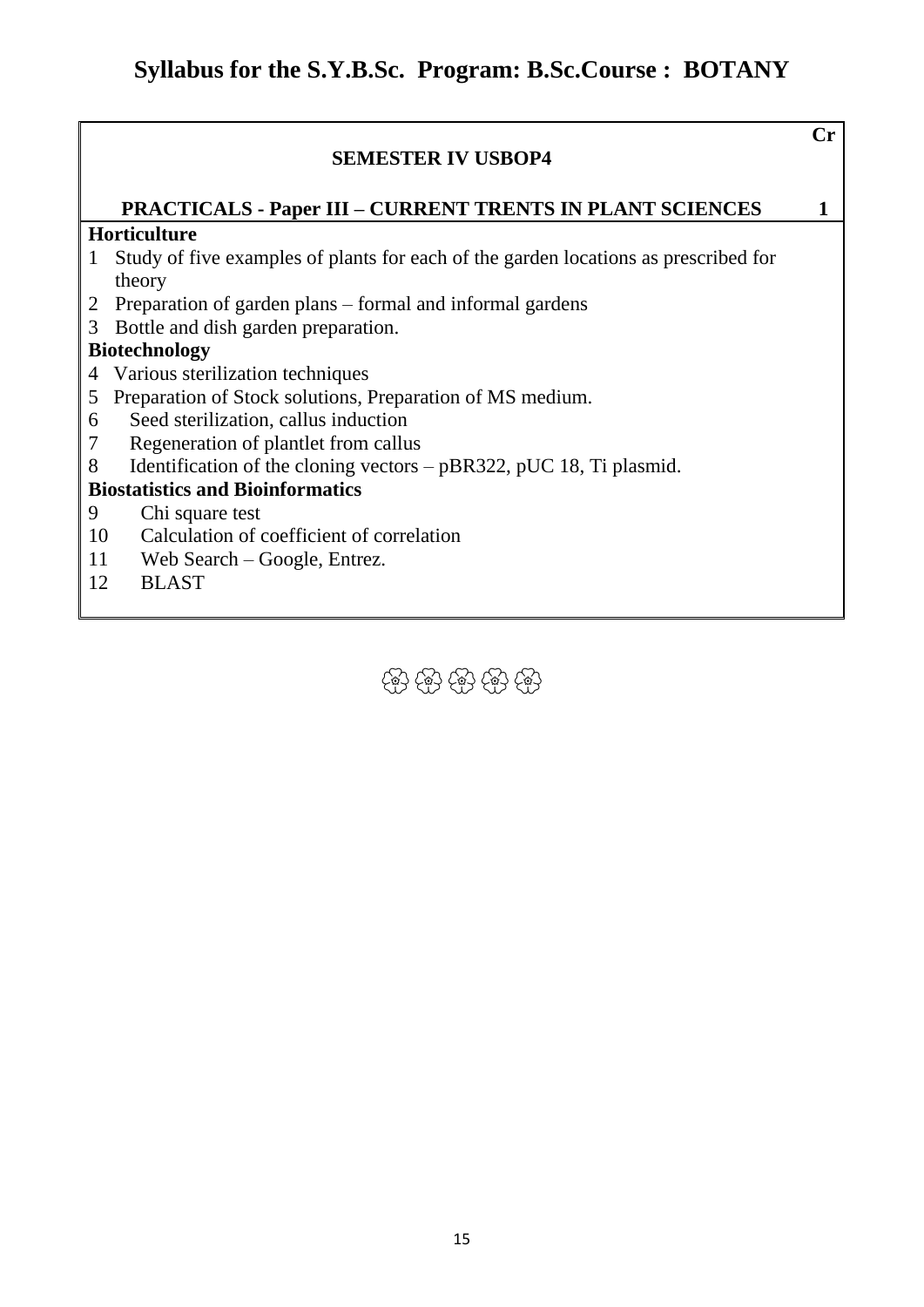### **SEMESTER IV USBOP4 Cr PRACTICALS - Paper III – CURRENT TRENTS IN PLANT SCIENCES 1 Horticulture** 1 Study of five examples of plants for each of the garden locations as prescribed for theory 2 Preparation of garden plans – formal and informal gardens 3 Bottle and dish garden preparation. **Biotechnology** 4 Various sterilization techniques 5 Preparation of Stock solutions, Preparation of MS medium. 6 Seed sterilization, callus induction 7 Regeneration of plantlet from callus 8 Identification of the cloning vectors – pBR322, pUC 18, Ti plasmid. **Biostatistics and Bioinformatics** 9 Chi square test 10 Calculation of coefficient of correlation 11 12 Web Search – Google, Entrez. BLAST

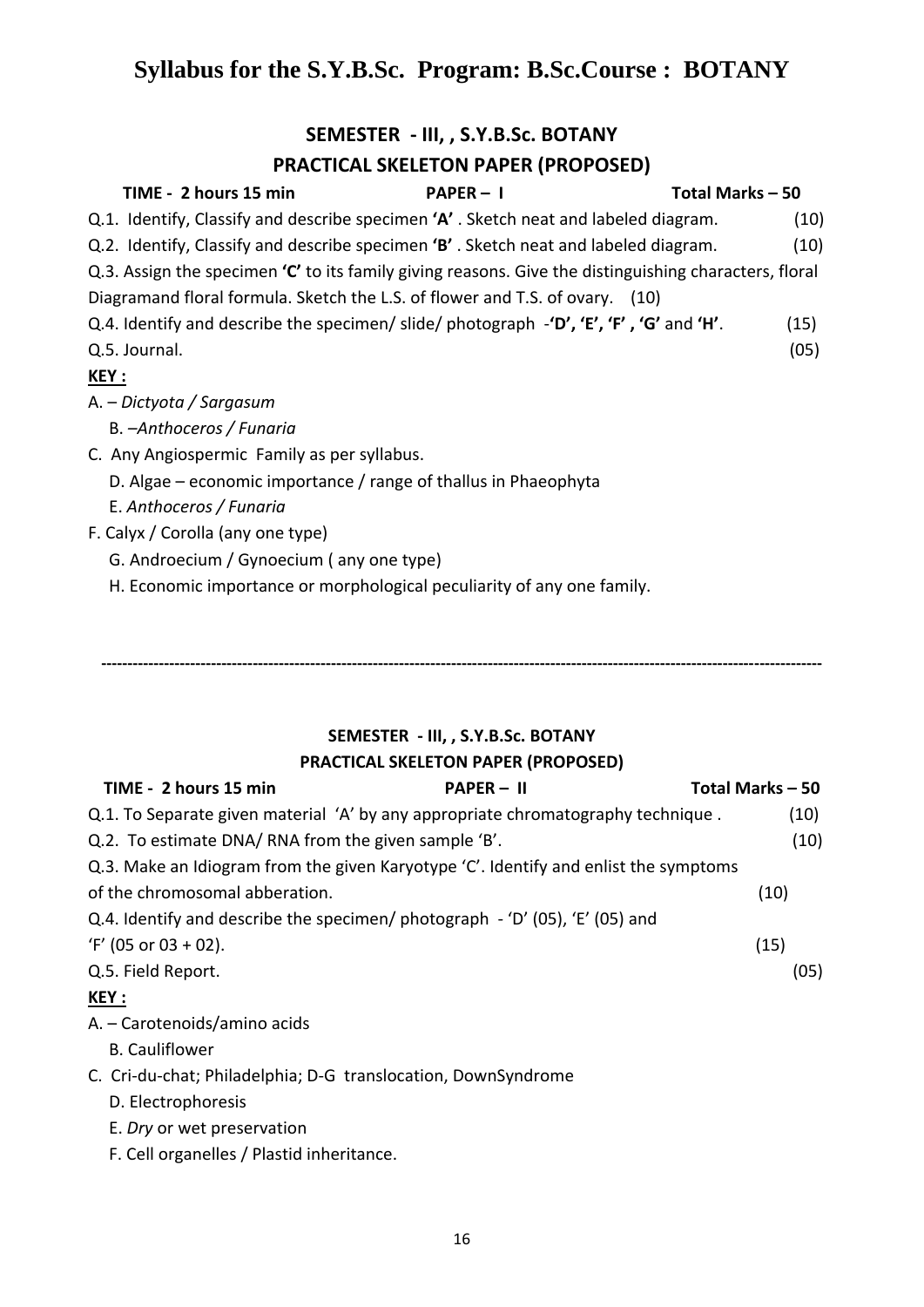### **SEMESTER - III, , S.Y.B.Sc. BOTANY**

### **PRACTICAL SKELETON PAPER (PROPOSED)**

| TIME - 2 hours 15 min                                                                                                                           | $PAPER - I$ | Total Marks - 50 |
|-------------------------------------------------------------------------------------------------------------------------------------------------|-------------|------------------|
| Q.1. Identify, Classify and describe specimen 'A'. Sketch neat and labeled diagram.                                                             |             | (10)             |
| Q.2. Identify, Classify and describe specimen 'B'. Sketch neat and labeled diagram.                                                             |             | (10)             |
| Q.3. Assign the specimen $'C'$ to its family giving reasons. Give the distinguishing characters, floral                                         |             |                  |
| Diagramand floral formula. Sketch the L.S. of flower and T.S. of ovary. (10)                                                                    |             |                  |
| Q.4. Identify and describe the specimen/slide/photograph $-\mathbf{D}'$ , $'\mathbf{E}'$ , $'\mathbf{F}'$ , $'\mathbf{G}'$ and $'\mathbf{H}'$ . |             | (15)             |
| Q.5. Journal.                                                                                                                                   |             | (05)             |
| <u>KEY :</u>                                                                                                                                    |             |                  |
| A. – Dictyota / Sargasum                                                                                                                        |             |                  |
| B. - Anthoceros / Funaria                                                                                                                       |             |                  |
| C. Any Angiospermic Family as per syllabus.                                                                                                     |             |                  |
| D. Algae – economic importance / range of thallus in Phaeophyta                                                                                 |             |                  |
| E. Anthoceros / Funaria                                                                                                                         |             |                  |
| F. Calyx / Corolla (any one type)                                                                                                               |             |                  |
| G. Androecium / Gynoecium (any one type)                                                                                                        |             |                  |
| H. Economic importance or morphological peculiarity of any one family.                                                                          |             |                  |

## **SEMESTER - III, , S.Y.B.Sc. BOTANY PRACTICAL SKELETON PAPER (PROPOSED)**

**------------------------------------------------------------------------------------------------------------------------------------------**

| TIME - 2 hours 15 min                                                                | <b>PAPER – II</b> | Total Marks – 50 |
|--------------------------------------------------------------------------------------|-------------------|------------------|
| Q.1. To Separate given material 'A' by any appropriate chromatography technique.     |                   | (10)             |
| Q.2. To estimate DNA/RNA from the given sample 'B'.                                  |                   | (10)             |
| Q.3. Make an Idiogram from the given Karyotype 'C'. Identify and enlist the symptoms |                   |                  |
| of the chromosomal abberation.                                                       |                   | (10)             |
| Q.4. Identify and describe the specimen/ photograph $-$ 'D' (05), 'E' (05) and       |                   |                  |
| $'F'$ (05 or 03 + 02).                                                               |                   | (15)             |
| Q.5. Field Report.                                                                   |                   | (05)             |
| <u>KEY :</u>                                                                         |                   |                  |
| A. – Carotenoids/amino acids                                                         |                   |                  |
| <b>B.</b> Cauliflower                                                                |                   |                  |

### C. Cri-du-chat; Philadelphia; D-G translocation, DownSyndrome

- D. Electrophoresis
- E. *Dry* or wet preservation
- F. Cell organelles / Plastid inheritance.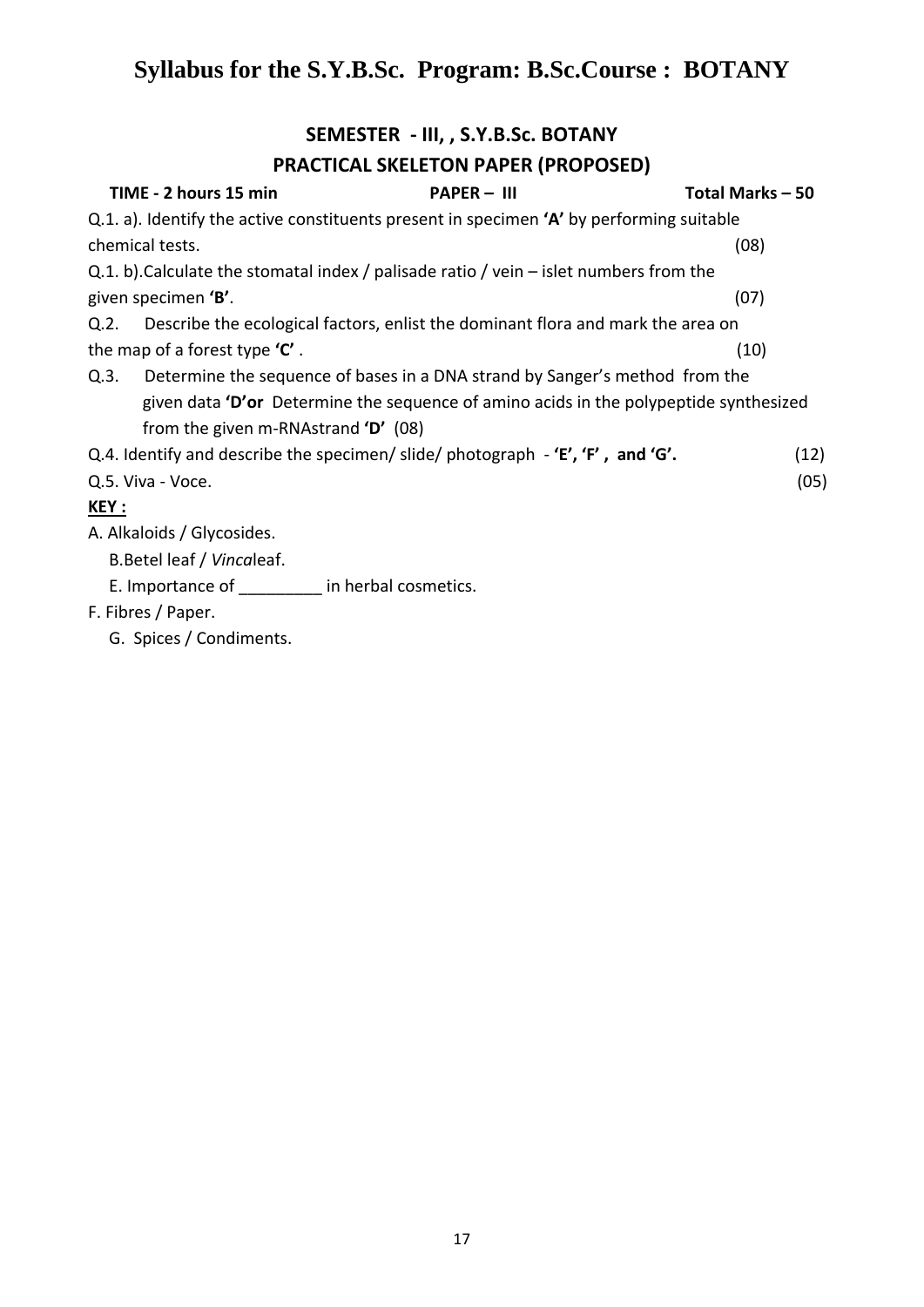## **SEMESTER - III, , S.Y.B.Sc. BOTANY**

### **PRACTICAL SKELETON PAPER (PROPOSED)**

| TIME - 2 hours 15 min                     | $PAPER - III$                                                                            | Total Marks - 50 |
|-------------------------------------------|------------------------------------------------------------------------------------------|------------------|
|                                           | Q.1. a). Identify the active constituents present in specimen 'A' by performing suitable |                  |
| chemical tests.                           |                                                                                          | (08)             |
|                                           | Q.1. b). Calculate the stomatal index / palisade ratio / vein – islet numbers from the   |                  |
| given specimen 'B'.                       |                                                                                          | (07)             |
| Q.2.                                      | Describe the ecological factors, enlist the dominant flora and mark the area on          |                  |
| the map of a forest type $'C'$ .          |                                                                                          | (10)             |
|                                           | Q.3. Determine the sequence of bases in a DNA strand by Sanger's method from the         |                  |
|                                           | given data 'D'or Determine the sequence of amino acids in the polypeptide synthesized    |                  |
| from the given m-RNAstrand $D'$ (08)      |                                                                                          |                  |
|                                           | Q.4. Identify and describe the specimen/ slide/ photograph $-$ 'E', 'F', and 'G'.        | (12)             |
| Q.5. Viva - Voce.                         |                                                                                          | (05)             |
| <u>KEY :</u>                              |                                                                                          |                  |
| A. Alkaloids / Glycosides.                |                                                                                          |                  |
| B. Betel leaf / Vincaleaf.                |                                                                                          |                  |
| E. Importance of the in herbal cosmetics. |                                                                                          |                  |
| F. Fibres / Paper.                        |                                                                                          |                  |
|                                           |                                                                                          |                  |

G. Spices / Condiments.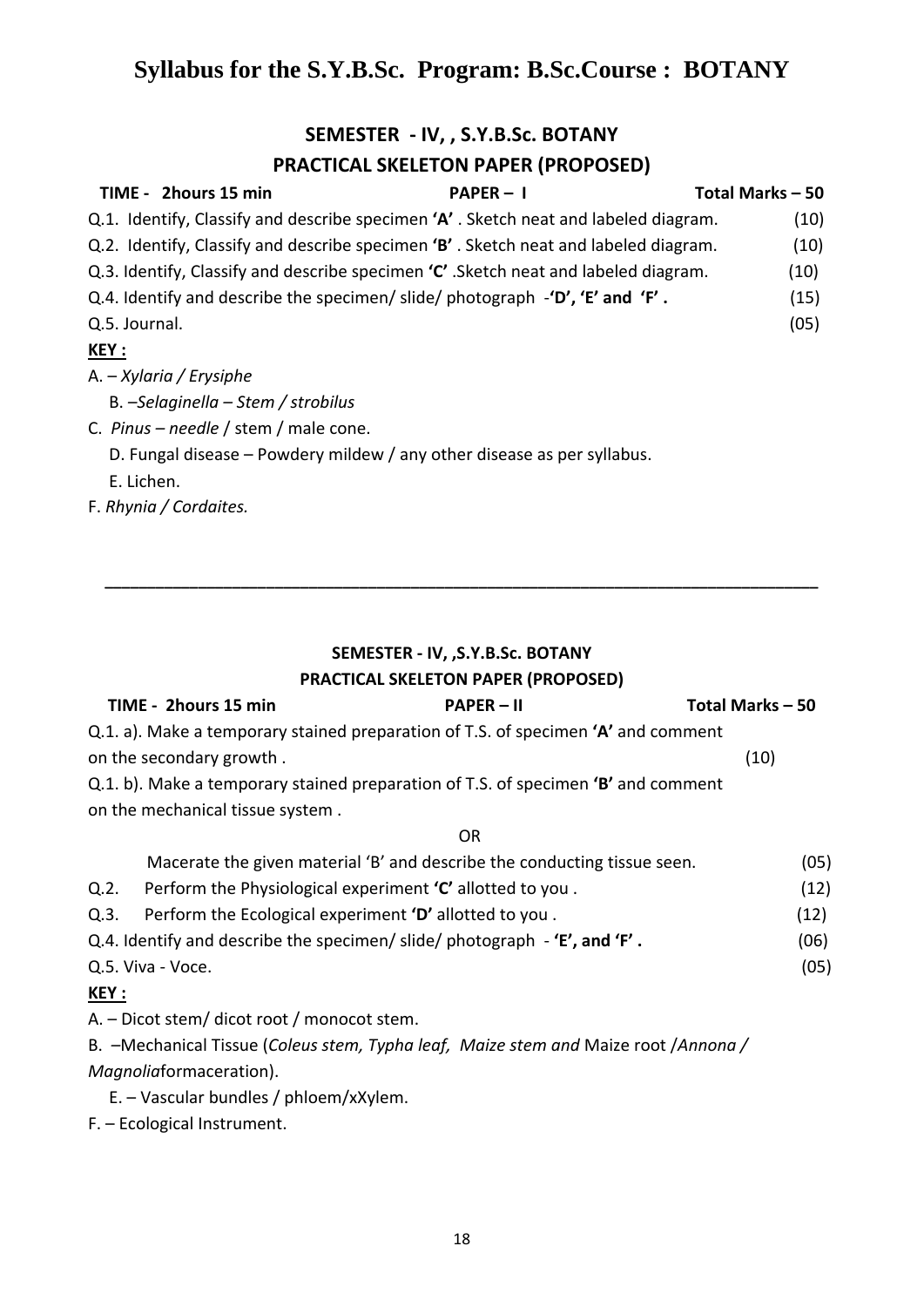## **SEMESTER - IV, , S.Y.B.Sc. BOTANY**

### **PRACTICAL SKELETON PAPER (PROPOSED)**

|               | TIME - 2hours 15 min                                                                                          | $PAPER - I$ | Total Marks - 50 |
|---------------|---------------------------------------------------------------------------------------------------------------|-------------|------------------|
|               | Q.1. Identify, Classify and describe specimen 'A'. Sketch neat and labeled diagram.                           |             | (10)             |
|               | Q.2. Identify, Classify and describe specimen 'B'. Sketch neat and labeled diagram.                           |             | (10)             |
|               | Q.3. Identify, Classify and describe specimen $'C'$ . Sketch neat and labeled diagram.                        |             | (10)             |
|               | Q.4. Identify and describe the specimen/ slide/ photograph $-\mathbf{D}'$ , $\mathbf{E}'$ and $\mathbf{F}'$ . |             | (15)             |
| Q.5. Journal. |                                                                                                               |             | (05)             |
| <u>KEY :</u>  |                                                                                                               |             |                  |
|               | A. – Xylaria / Erysiphe                                                                                       |             |                  |
|               | B. -Selaginella - Stem / strobilus                                                                            |             |                  |
|               | C. Pinus – needle / stem / male cone.                                                                         |             |                  |
|               | D. Fungal disease – Powdery mildew / any other disease as per syllabus.                                       |             |                  |
| E. Lichen.    |                                                                                                               |             |                  |
|               | F. Rhynia / Cordaites.                                                                                        |             |                  |
|               |                                                                                                               |             |                  |

#### **SEMESTER - IV, ,S.Y.B.Sc. BOTANY**

**\_\_\_\_\_\_\_\_\_\_\_\_\_\_\_\_\_\_\_\_\_\_\_\_\_\_\_\_\_\_\_\_\_\_\_\_\_\_\_\_\_\_\_\_\_\_\_\_\_\_\_\_\_\_\_\_\_\_\_\_\_\_\_\_\_\_\_\_\_\_\_\_\_\_\_\_\_\_\_\_\_\_\_\_**

#### **PRACTICAL SKELETON PAPER (PROPOSED)**

| TIME - 2hours 15 min                                                              | $PAPER - II$ | Total Marks-50 |
|-----------------------------------------------------------------------------------|--------------|----------------|
| Q.1. a). Make a temporary stained preparation of T.S. of specimen 'A' and comment |              |                |
| on the secondary growth.                                                          |              | (10)           |
| Q.1. b). Make a temporary stained preparation of T.S. of specimen 'B' and comment |              |                |
| on the mechanical tissue system.                                                  |              |                |

**OR** Service Service Service Service Service Service Service Service Service Service Service Service Service Service

|              | Macerate the given material 'B' and describe the conducting tissue seen.            | (05) |
|--------------|-------------------------------------------------------------------------------------|------|
| Q.2.         | Perform the Physiological experiment 'C' allotted to you.                           | (12) |
| Q.3.         | Perform the Ecological experiment 'D' allotted to you.                              | (12) |
|              | Q.4. Identify and describe the specimen/ slide/ photograph - 'E', and 'F'.          | (06) |
|              | Q.5. Viva - Voce.                                                                   | (05) |
| <u>KEY :</u> |                                                                                     |      |
|              | A. - Dicot stem/ dicot root / monocot stem.                                         |      |
|              | B. -Mechanical Tissue (Coleus stem, Typha leaf, Maize stem and Maize root /Annona / |      |

*Magnolia*formaceration).

E. – Vascular bundles / phloem/xXylem.

F. – Ecological Instrument.